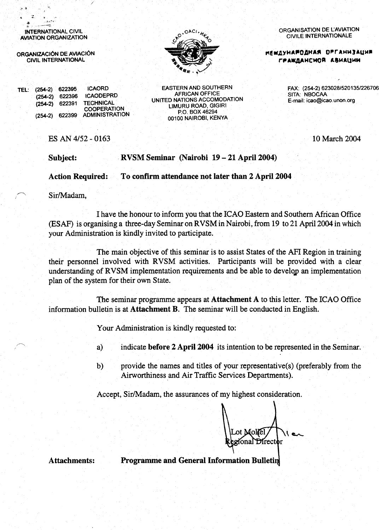INTERNATIONAL CIVIL **AVIATION ORGANIZATION** 

ORGANIZACIÓN DE AVIACIÓN **CIVIL INTERNATIONAL** 

**ICAORD** TEL: (254-2) 622395 **ICAODEPRD**  $(254-2)$  622396 **TECHNICAL**  $(254-2)$  622391 COOPERATION  $(254-2)$  622399 **ADMINISTRATION** 

**EASTERN AND SOUTHERN AFRICAN OFFICE** UNITED NATIONS ACCOMODATION LIMURU ROAD, GIGIRI P.O. BOX 46294 00100 NAIROBI, KENYA

ES AN 4/52 - 0163

RVSM Seminar (Nairobi 19 – 21 April 2004)

To confirm attendance not later than 2 April 2004 **Action Required:** 

Sir/Madam,

Subject:

I have the honour to inform you that the ICAO Eastern and Southern African Office (ESAF) is organising a three-day Seminar on RVSM in Nairobi, from 19 to 21 April 2004 in which your Administration is kindly invited to participate.

The main objective of this seminar is to assist States of the AFI Region in training their personnel involved with RVSM activities. Participants will be provided with a clear understanding of RVSM implementation requirements and be able to develop an implementation plan of the system for their own State.

The seminar programme appears at Attachment A to this letter. The ICAO Office information bulletin is at **Attachment B**. The seminar will be conducted in English.

Your Administration is kindly requested to:

- indicate before 2 April 2004 its intention to be represented in the Seminar. a)
- provide the names and titles of your representative(s) (preferably from the  $b)$ Airworthiness and Air Traffic Services Departments).

Accept, Sir/Madam, the assurances of my highest consideration.

Aoliel Director onal

**Attachments:** 

**Programme and General Information Bulletin** 

ORGANISATION DE L'AVIATION **CIVILE INTERNATIONALE** 

**НЕШДУНАРОДНАЯ ОРГАНИЗАЦИЯ** ГРАЖДАНСНОЙ АВИАЦИИ

> FAX: (254-2) 623028/520135/226706 SITA: NBOCAA E-mail: icao@icao.unon.org

> > 10 March 2004

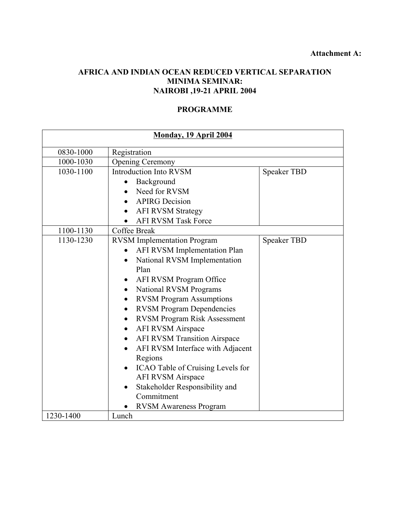# **AFRICA AND INDIAN OCEAN REDUCED VERTICAL SEPARATION MINIMA SEMINAR: NAIROBI ,19-21 APRIL 2004**

# **PROGRAMME**

| <b>Monday, 19 April 2004</b> |                                                  |                    |  |
|------------------------------|--------------------------------------------------|--------------------|--|
| 0830-1000                    | Registration                                     |                    |  |
| 1000-1030                    | <b>Opening Ceremony</b>                          |                    |  |
| 1030-1100                    | <b>Introduction Into RVSM</b>                    | <b>Speaker TBD</b> |  |
|                              | Background                                       |                    |  |
|                              | Need for RVSM                                    |                    |  |
|                              | <b>APIRG</b> Decision                            |                    |  |
|                              | <b>AFI RVSM Strategy</b>                         |                    |  |
|                              | <b>AFI RVSM Task Force</b>                       |                    |  |
| 1100-1130                    | Coffee Break                                     |                    |  |
| 1130-1230                    | <b>RVSM</b> Implementation Program               | <b>Speaker TBD</b> |  |
|                              | <b>AFI RVSM Implementation Plan</b>              |                    |  |
|                              | National RVSM Implementation<br>$\bullet$        |                    |  |
|                              | Plan                                             |                    |  |
|                              | AFI RVSM Program Office                          |                    |  |
|                              | <b>National RVSM Programs</b>                    |                    |  |
|                              | <b>RVSM Program Assumptions</b><br>$\bullet$     |                    |  |
|                              | <b>RVSM Program Dependencies</b><br>$\bullet$    |                    |  |
|                              | <b>RVSM Program Risk Assessment</b><br>$\bullet$ |                    |  |
|                              | <b>AFI RVSM Airspace</b><br>$\bullet$            |                    |  |
|                              | <b>AFI RVSM Transition Airspace</b>              |                    |  |
|                              | AFI RVSM Interface with Adjacent                 |                    |  |
|                              | Regions                                          |                    |  |
|                              | ICAO Table of Cruising Levels for                |                    |  |
|                              | <b>AFI RVSM Airspace</b>                         |                    |  |
|                              | Stakeholder Responsibility and<br>$\bullet$      |                    |  |
|                              | Commitment                                       |                    |  |
|                              | <b>RVSM Awareness Program</b>                    |                    |  |
| 1230-1400                    | Lunch                                            |                    |  |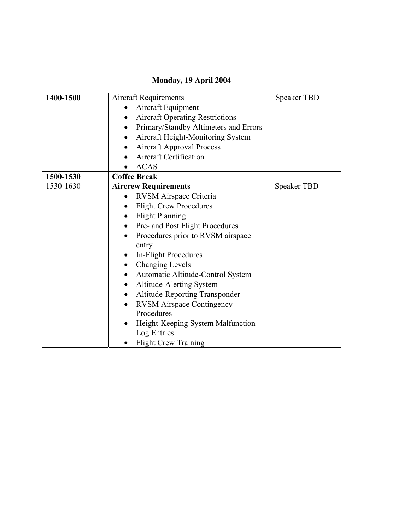| <b>Monday, 19 April 2004</b> |                                                                                                                                                                                                                                                                                                                                                                                                                                                                                                                                                                                  |                    |  |
|------------------------------|----------------------------------------------------------------------------------------------------------------------------------------------------------------------------------------------------------------------------------------------------------------------------------------------------------------------------------------------------------------------------------------------------------------------------------------------------------------------------------------------------------------------------------------------------------------------------------|--------------------|--|
| 1400-1500                    | <b>Aircraft Requirements</b><br>Aircraft Equipment<br><b>Aircraft Operating Restrictions</b><br>Primary/Standby Altimeters and Errors<br>Aircraft Height-Monitoring System<br><b>Aircraft Approval Process</b><br>$\bullet$<br><b>Aircraft Certification</b><br><b>ACAS</b>                                                                                                                                                                                                                                                                                                      | <b>Speaker TBD</b> |  |
| 1500-1530                    | <b>Coffee Break</b>                                                                                                                                                                                                                                                                                                                                                                                                                                                                                                                                                              |                    |  |
| 1530-1630                    | <b>Aircrew Requirements</b><br>RVSM Airspace Criteria<br><b>Flight Crew Procedures</b><br>$\bullet$<br><b>Flight Planning</b><br>Pre- and Post Flight Procedures<br>Procedures prior to RVSM airspace<br>$\bullet$<br>entry<br>In-Flight Procedures<br>$\bullet$<br><b>Changing Levels</b><br>$\bullet$<br>Automatic Altitude-Control System<br><b>Altitude-Alerting System</b><br>$\bullet$<br>Altitude-Reporting Transponder<br>$\bullet$<br><b>RVSM Airspace Contingency</b><br>Procedures<br>Height-Keeping System Malfunction<br>Log Entries<br><b>Flight Crew Training</b> | <b>Speaker TBD</b> |  |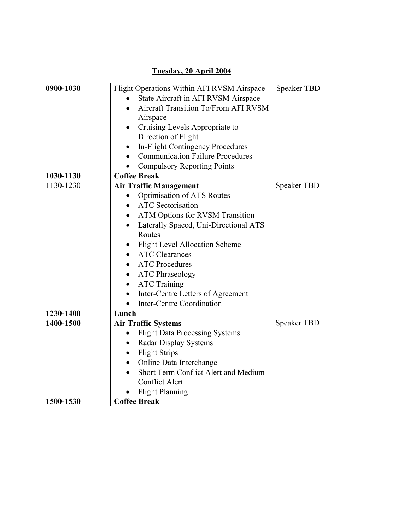| Tuesday, 20 April 2004 |                                                                                                                           |                    |  |
|------------------------|---------------------------------------------------------------------------------------------------------------------------|--------------------|--|
| 0900-1030              | Flight Operations Within AFI RVSM Airspace<br>State Aircraft in AFI RVSM Airspace<br>Aircraft Transition To/From AFI RVSM | <b>Speaker TBD</b> |  |
|                        | Airspace                                                                                                                  |                    |  |
|                        | Cruising Levels Appropriate to<br>Direction of Flight                                                                     |                    |  |
|                        | In-Flight Contingency Procedures<br>$\bullet$<br><b>Communication Failure Procedures</b>                                  |                    |  |
|                        | <b>Compulsory Reporting Points</b>                                                                                        |                    |  |
| 1030-1130              | <b>Coffee Break</b>                                                                                                       |                    |  |
| 1130-1230              | <b>Air Traffic Management</b>                                                                                             | <b>Speaker TBD</b> |  |
|                        | <b>Optimisation of ATS Routes</b>                                                                                         |                    |  |
|                        | <b>ATC</b> Sectorisation                                                                                                  |                    |  |
|                        | <b>ATM Options for RVSM Transition</b><br>$\bullet$                                                                       |                    |  |
|                        | Laterally Spaced, Uni-Directional ATS<br>$\bullet$                                                                        |                    |  |
|                        | Routes                                                                                                                    |                    |  |
|                        | <b>Flight Level Allocation Scheme</b>                                                                                     |                    |  |
|                        | <b>ATC Clearances</b>                                                                                                     |                    |  |
|                        | <b>ATC Procedures</b><br>$\bullet$                                                                                        |                    |  |
|                        | <b>ATC Phraseology</b><br>$\bullet$                                                                                       |                    |  |
|                        | <b>ATC Training</b><br>$\bullet$                                                                                          |                    |  |
|                        | Inter-Centre Letters of Agreement                                                                                         |                    |  |
|                        | Inter-Centre Coordination<br>$\bullet$                                                                                    |                    |  |
| 1230-1400              | Lunch                                                                                                                     |                    |  |
| 1400-1500              | <b>Air Traffic Systems</b>                                                                                                | <b>Speaker TBD</b> |  |
|                        | <b>Flight Data Processing Systems</b>                                                                                     |                    |  |
|                        | <b>Radar Display Systems</b><br>$\bullet$                                                                                 |                    |  |
|                        | <b>Flight Strips</b>                                                                                                      |                    |  |
|                        | Online Data Interchange                                                                                                   |                    |  |
|                        | Short Term Conflict Alert and Medium                                                                                      |                    |  |
|                        | <b>Conflict Alert</b>                                                                                                     |                    |  |
|                        | <b>Flight Planning</b>                                                                                                    |                    |  |
| 1500-1530              | <b>Coffee Break</b>                                                                                                       |                    |  |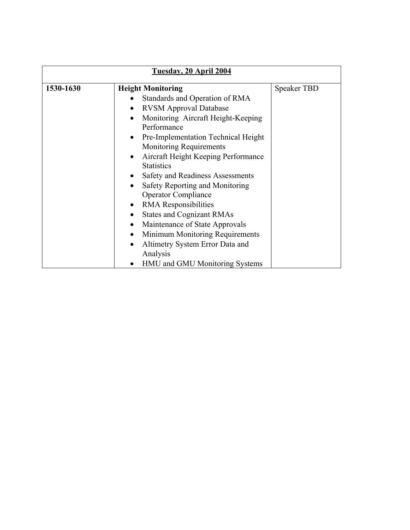| Tuesday, 20 April 2004 |                                                                                                                                                                                                                                                                                                                                                                                                                                                                                                                                                       |                    |  |
|------------------------|-------------------------------------------------------------------------------------------------------------------------------------------------------------------------------------------------------------------------------------------------------------------------------------------------------------------------------------------------------------------------------------------------------------------------------------------------------------------------------------------------------------------------------------------------------|--------------------|--|
| 1530-1630              | <b>Height Monitoring</b><br>Standards and Operation of RMA<br><b>RVSM Approval Database</b><br>Monitoring Aircraft Height-Keeping<br>Performance<br>Pre-Implementation Technical Height<br>$\bullet$<br><b>Monitoring Requirements</b><br>Aircraft Height Keeping Performance<br>$\bullet$<br><b>Statistics</b><br>Safety and Readiness Assessments<br>Safety Reporting and Monitoring<br><b>Operator Compliance</b><br>RMA Responsibilities<br><b>States and Cognizant RMAs</b><br>Maintenance of State Approvals<br>Minimum Monitoring Requirements | <b>Speaker TBD</b> |  |
|                        | Altimetry System Error Data and<br>Analysis<br>HMU and GMU Monitoring Systems                                                                                                                                                                                                                                                                                                                                                                                                                                                                         |                    |  |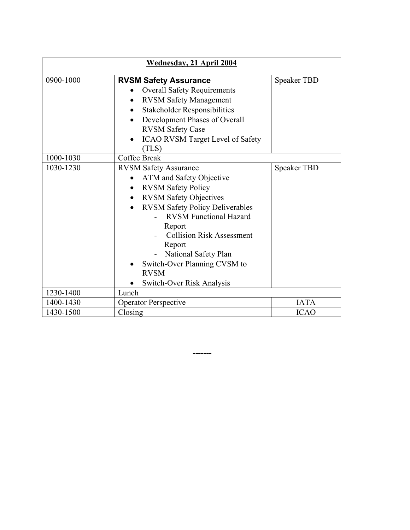| Wednesday, 21 April 2004 |                                                                                                                                                                                                                                                                                                                                                                                         |                    |  |
|--------------------------|-----------------------------------------------------------------------------------------------------------------------------------------------------------------------------------------------------------------------------------------------------------------------------------------------------------------------------------------------------------------------------------------|--------------------|--|
| 0900-1000                | <b>RVSM Safety Assurance</b><br><b>Overall Safety Requirements</b><br><b>RVSM Safety Management</b><br>$\bullet$<br><b>Stakeholder Responsibilities</b><br>$\bullet$<br>Development Phases of Overall<br>$\bullet$<br><b>RVSM Safety Case</b><br><b>ICAO RVSM Target Level of Safety</b><br>(TLS)                                                                                       | <b>Speaker TBD</b> |  |
| 1000-1030                | Coffee Break                                                                                                                                                                                                                                                                                                                                                                            |                    |  |
| 1030-1230                | <b>RVSM Safety Assurance</b><br>ATM and Safety Objective<br><b>RVSM Safety Policy</b><br>$\bullet$<br><b>RVSM Safety Objectives</b><br>$\bullet$<br><b>RVSM Safety Policy Deliverables</b><br><b>RVSM Functional Hazard</b><br>Report<br><b>Collision Risk Assessment</b><br>Report<br>National Safety Plan<br>Switch-Over Planning CVSM to<br><b>RVSM</b><br>Switch-Over Risk Analysis | <b>Speaker TBD</b> |  |
| 1230-1400                | Lunch                                                                                                                                                                                                                                                                                                                                                                                   |                    |  |
| 1400-1430                | <b>Operator Perspective</b>                                                                                                                                                                                                                                                                                                                                                             | <b>IATA</b>        |  |
| 1430-1500                | Closing                                                                                                                                                                                                                                                                                                                                                                                 | <b>ICAO</b>        |  |

 **-------**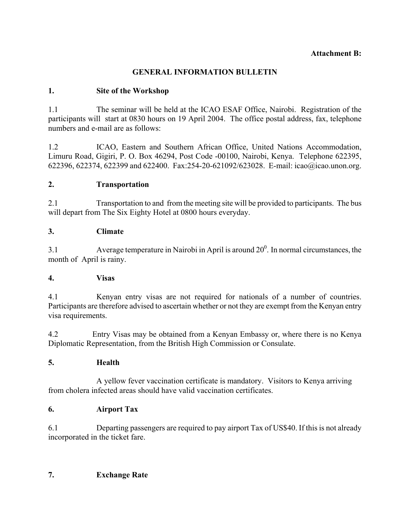#### **Attachment B:**

# **GENERAL INFORMATION BULLETIN**

# **1. Site of the Workshop**

1.1 The seminar will be held at the ICAO ESAF Office, Nairobi. Registration of the participants will start at 0830 hours on 19 April 2004. The office postal address, fax, telephone numbers and e-mail are as follows:

1.2 ICAO, Eastern and Southern African Office, United Nations Accommodation, Limuru Road, Gigiri, P. O. Box 46294, Post Code -00100, Nairobi, Kenya. Telephone 622395, 622396, 622374, 622399 and 622400. Fax:254-20-621092/623028. E-mail: icao@icao.unon.org.

#### **2. Transportation**

2.1 Transportation to and from the meeting site will be provided to participants. The bus will depart from The Six Eighty Hotel at 0800 hours everyday.

#### **3. Climate**

3.1 Average temperature in Nairobi in April is around  $20^0$ . In normal circumstances, the month of April is rainy.

#### **4. Visas**

4.1 Kenyan entry visas are not required for nationals of a number of countries. Participants are therefore advised to ascertain whether or not they are exempt from the Kenyan entry visa requirements.

4.2 Entry Visas may be obtained from a Kenyan Embassy or, where there is no Kenya Diplomatic Representation, from the British High Commission or Consulate.

#### **5. Health**

 A yellow fever vaccination certificate is mandatory. Visitors to Kenya arriving from cholera infected areas should have valid vaccination certificates.

#### **6. Airport Tax**

6.1 Departing passengers are required to pay airport Tax of US\$40. If this is not already incorporated in the ticket fare.

#### **7. Exchange Rate**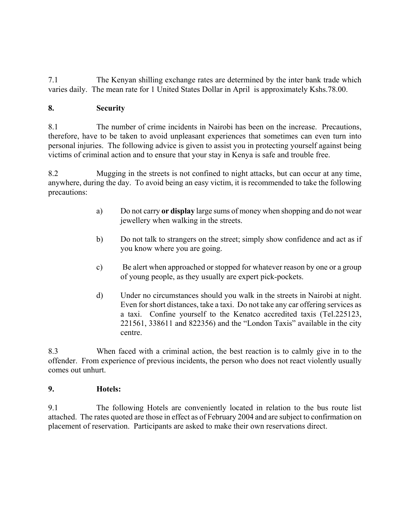7.1 The Kenyan shilling exchange rates are determined by the inter bank trade which varies daily. The mean rate for 1 United States Dollar in April is approximately Kshs.78.00.

# **8. Security**

8.1 The number of crime incidents in Nairobi has been on the increase. Precautions, therefore, have to be taken to avoid unpleasant experiences that sometimes can even turn into personal injuries. The following advice is given to assist you in protecting yourself against being victims of criminal action and to ensure that your stay in Kenya is safe and trouble free.

8.2 Mugging in the streets is not confined to night attacks, but can occur at any time, anywhere, during the day. To avoid being an easy victim, it is recommended to take the following precautions:

- a) Do not carry **or display** large sums of money when shopping and do not wear jewellery when walking in the streets.
- b) Do not talk to strangers on the street; simply show confidence and act as if you know where you are going.
- c) Be alert when approached or stopped for whatever reason by one or a group of young people, as they usually are expert pick-pockets.
- d) Under no circumstances should you walk in the streets in Nairobi at night. Even for short distances, take a taxi. Do not take any car offering services as a taxi. Confine yourself to the Kenatco accredited taxis (Tel.225123, 221561, 338611 and 822356) and the "London Taxis" available in the city centre.

8.3 When faced with a criminal action, the best reaction is to calmly give in to the offender. From experience of previous incidents, the person who does not react violently usually comes out unhurt.

#### **9. Hotels:**

9.1 The following Hotels are conveniently located in relation to the bus route list attached. The rates quoted are those in effect as of February 2004 and are subject to confirmation on placement of reservation. Participants are asked to make their own reservations direct.